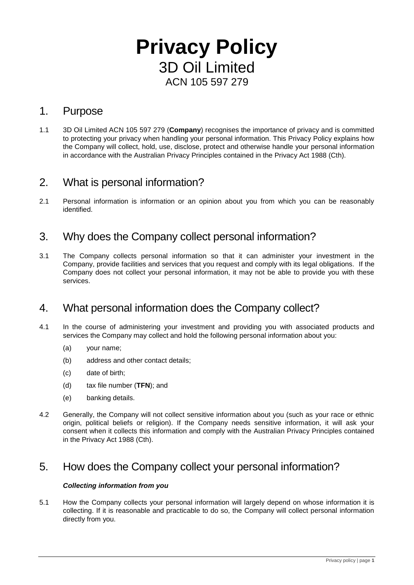# **Privacy Policy** 3D Oil Limited ACN 105 597 279

### 1. Purpose

1.1 3D Oil Limited ACN 105 597 279 (**Company**) recognises the importance of privacy and is committed to protecting your privacy when handling your personal information. This Privacy Policy explains how the Company will collect, hold, use, disclose, protect and otherwise handle your personal information in accordance with the Australian Privacy Principles contained in the Privacy Act 1988 (Cth).

### 2. What is personal information?

2.1 Personal information is information or an opinion about you from which you can be reasonably identified.

### 3. Why does the Company collect personal information?

3.1 The Company collects personal information so that it can administer your investment in the Company, provide facilities and services that you request and comply with its legal obligations. If the Company does not collect your personal information, it may not be able to provide you with these services.

### 4. What personal information does the Company collect?

- 4.1 In the course of administering your investment and providing you with associated products and services the Company may collect and hold the following personal information about you:
	- (a) your name;
	- (b) address and other contact details;
	- (c) date of birth;
	- (d) tax file number (**TFN**); and
	- (e) banking details.
- 4.2 Generally, the Company will not collect sensitive information about you (such as your race or ethnic origin, political beliefs or religion). If the Company needs sensitive information, it will ask your consent when it collects this information and comply with the Australian Privacy Principles contained in the Privacy Act 1988 (Cth).

### 5. How does the Company collect your personal information?

#### *Collecting information from you*

5.1 How the Company collects your personal information will largely depend on whose information it is collecting. If it is reasonable and practicable to do so, the Company will collect personal information directly from you.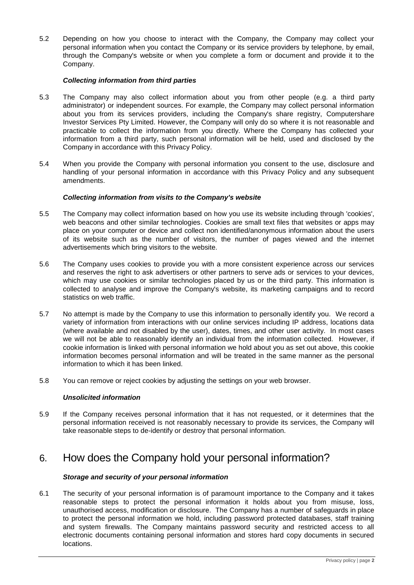5.2 Depending on how you choose to interact with the Company, the Company may collect your personal information when you contact the Company or its service providers by telephone, by email, through the Company's website or when you complete a form or document and provide it to the Company.

#### *Collecting information from third parties*

- 5.3 The Company may also collect information about you from other people (e.g. a third party administrator) or independent sources. For example, the Company may collect personal information about you from its services providers, including the Company's share registry, Computershare Investor Services Pty Limited. However, the Company will only do so where it is not reasonable and practicable to collect the information from you directly. Where the Company has collected your information from a third party, such personal information will be held, used and disclosed by the Company in accordance with this Privacy Policy.
- 5.4 When you provide the Company with personal information you consent to the use, disclosure and handling of your personal information in accordance with this Privacy Policy and any subsequent amendments.

#### *Collecting information from visits to the Company's website*

- 5.5 The Company may collect information based on how you use its website including through 'cookies', web beacons and other similar technologies. Cookies are small text files that websites or apps may place on your computer or device and collect non identified/anonymous information about the users of its website such as the number of visitors, the number of pages viewed and the internet advertisements which bring visitors to the website.
- 5.6 The Company uses cookies to provide you with a more consistent experience across our services and reserves the right to ask advertisers or other partners to serve ads or services to your devices, which may use cookies or similar technologies placed by us or the third party. This information is collected to analyse and improve the Company's website, its marketing campaigns and to record statistics on web traffic.
- 5.7 No attempt is made by the Company to use this information to personally identify you. We record a variety of information from interactions with our online services including IP address, locations data (where available and not disabled by the user), dates, times, and other user activity. In most cases we will not be able to reasonably identify an individual from the information collected. However, if cookie information is linked with personal information we hold about you as set out above, this cookie information becomes personal information and will be treated in the same manner as the personal information to which it has been linked.
- 5.8 You can remove or reject cookies by adjusting the settings on your web browser.

#### *Unsolicited information*

5.9 If the Company receives personal information that it has not requested, or it determines that the personal information received is not reasonably necessary to provide its services, the Company will take reasonable steps to de-identify or destroy that personal information.

### 6. How does the Company hold your personal information?

#### *Storage and security of your personal information*

6.1 The security of your personal information is of paramount importance to the Company and it takes reasonable steps to protect the personal information it holds about you from misuse, loss, unauthorised access, modification or disclosure. The Company has a number of safeguards in place to protect the personal information we hold, including password protected databases, staff training and system firewalls. The Company maintains password security and restricted access to all electronic documents containing personal information and stores hard copy documents in secured locations.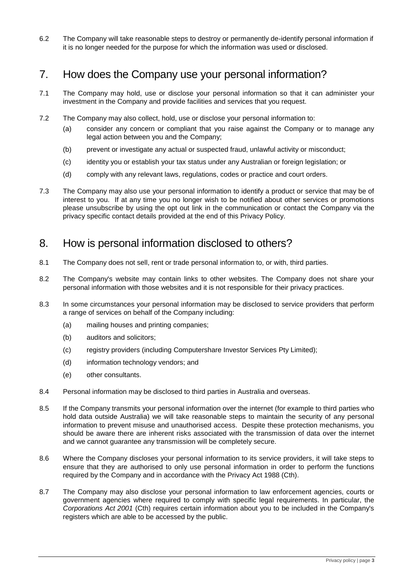6.2 The Company will take reasonable steps to destroy or permanently de-identify personal information if it is no longer needed for the purpose for which the information was used or disclosed.

### 7. How does the Company use your personal information?

- 7.1 The Company may hold, use or disclose your personal information so that it can administer your investment in the Company and provide facilities and services that you request.
- 7.2 The Company may also collect, hold, use or disclose your personal information to:
	- (a) consider any concern or compliant that you raise against the Company or to manage any legal action between you and the Company;
	- (b) prevent or investigate any actual or suspected fraud, unlawful activity or misconduct;
	- (c) identity you or establish your tax status under any Australian or foreign legislation; or
	- (d) comply with any relevant laws, regulations, codes or practice and court orders.
- 7.3 The Company may also use your personal information to identify a product or service that may be of interest to you. If at any time you no longer wish to be notified about other services or promotions please unsubscribe by using the opt out link in the communication or contact the Company via the privacy specific contact details provided at the end of this Privacy Policy.

### 8. How is personal information disclosed to others?

- 8.1 The Company does not sell, rent or trade personal information to, or with, third parties.
- 8.2 The Company's website may contain links to other websites. The Company does not share your personal information with those websites and it is not responsible for their privacy practices.
- 8.3 In some circumstances your personal information may be disclosed to service providers that perform a range of services on behalf of the Company including:
	- (a) mailing houses and printing companies;
	- (b) auditors and solicitors;
	- (c) registry providers (including Computershare Investor Services Pty Limited);
	- (d) information technology vendors; and
	- (e) other consultants.
- 8.4 Personal information may be disclosed to third parties in Australia and overseas.
- 8.5 If the Company transmits your personal information over the internet (for example to third parties who hold data outside Australia) we will take reasonable steps to maintain the security of any personal information to prevent misuse and unauthorised access. Despite these protection mechanisms, you should be aware there are inherent risks associated with the transmission of data over the internet and we cannot guarantee any transmission will be completely secure.
- 8.6 Where the Company discloses your personal information to its service providers, it will take steps to ensure that they are authorised to only use personal information in order to perform the functions required by the Company and in accordance with the Privacy Act 1988 (Cth).
- 8.7 The Company may also disclose your personal information to law enforcement agencies, courts or government agencies where required to comply with specific legal requirements. In particular, the *Corporations Act 2001* (Cth) requires certain information about you to be included in the Company's registers which are able to be accessed by the public.